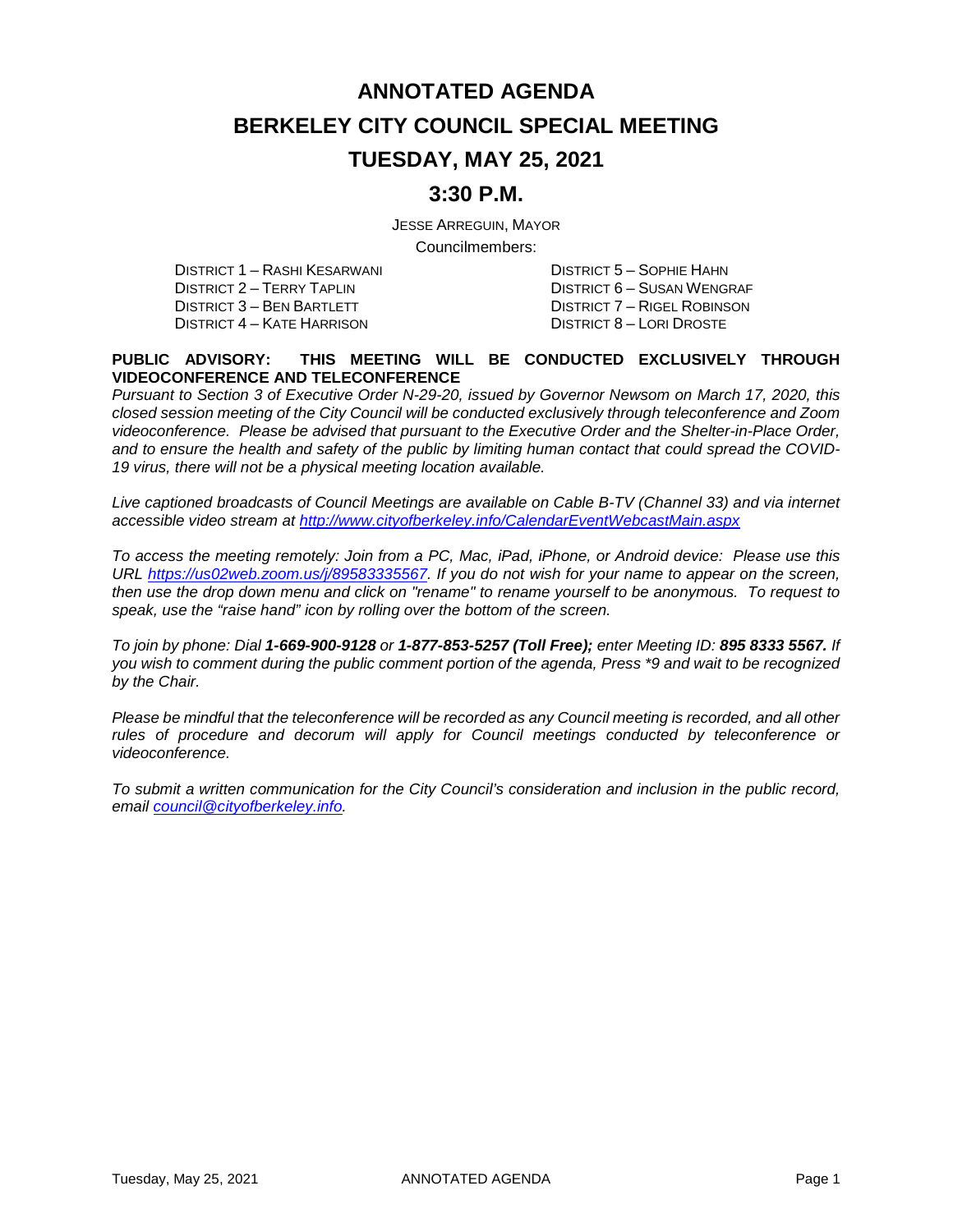# **ANNOTATED AGENDA BERKELEY CITY COUNCIL SPECIAL MEETING TUESDAY, MAY 25, 2021**

### **3:30 P.M.**

JESSE ARREGUIN, MAYOR

Councilmembers:

DISTRICT 1 – RASHI KESARWANI DISTRICT 5 – SOPHIE HAHN DISTRICT 2 – TERRY TAPLIN DISTRICT 6 – SUSAN WENGRAF DISTRICT 3 – BEN BARTLETT DISTRICT 7 – RIGEL ROBINSON<br>DISTRICT 4 – KATE HARRISON DISTRICT 8 – LORI DROSTE DISTRICT 4 – KATE HARRISON

#### **PUBLIC ADVISORY: THIS MEETING WILL BE CONDUCTED EXCLUSIVELY THROUGH VIDEOCONFERENCE AND TELECONFERENCE**

*Pursuant to Section 3 of Executive Order N-29-20, issued by Governor Newsom on March 17, 2020, this closed session meeting of the City Council will be conducted exclusively through teleconference and Zoom videoconference. Please be advised that pursuant to the Executive Order and the Shelter-in-Place Order, and to ensure the health and safety of the public by limiting human contact that could spread the COVID-19 virus, there will not be a physical meeting location available.* 

*Live captioned broadcasts of Council Meetings are available on Cable B-TV (Channel 33) and via internet accessible video stream at<http://www.cityofberkeley.info/CalendarEventWebcastMain.aspx>*

*To access the meeting remotely: Join from a PC, Mac, iPad, iPhone, or Android device: Please use this URL [https://us02web.zoom.us/j/89583335567.](https://us02web.zoom.us/j/89583335567) If you do not wish for your name to appear on the screen, then use the drop down menu and click on "rename" to rename yourself to be anonymous. To request to speak, use the "raise hand" icon by rolling over the bottom of the screen.* 

*To join by phone: Dial 1-669-900-9128 or 1-877-853-5257 (Toll Free); enter Meeting ID: 895 8333 5567. If you wish to comment during the public comment portion of the agenda, Press \*9 and wait to be recognized by the Chair.* 

*Please be mindful that the teleconference will be recorded as any Council meeting is recorded, and all other rules of procedure and decorum will apply for Council meetings conducted by teleconference or videoconference.*

*To submit a written communication for the City Council's consideration and inclusion in the public record, email [council@cityofberkeley.info.](mailto:council@cityofberkeley.info)*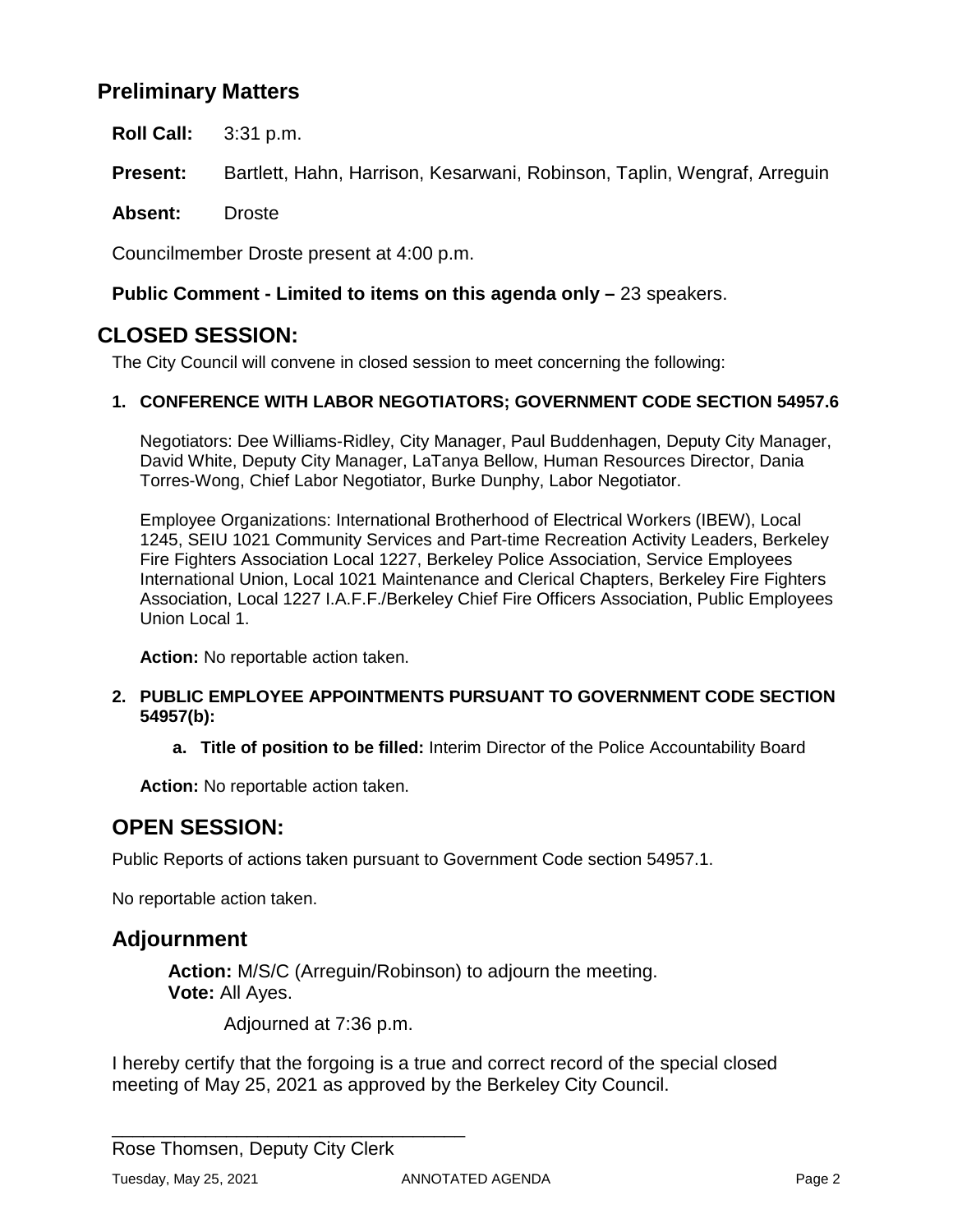## **Preliminary Matters**

**Roll Call:** 3:31 p.m.

**Present:** Bartlett, Hahn, Harrison, Kesarwani, Robinson, Taplin, Wengraf, Arreguin

**Absent:** Droste

Councilmember Droste present at 4:00 p.m.

### **Public Comment - Limited to items on this agenda only –** 23 speakers.

### **CLOSED SESSION:**

The City Council will convene in closed session to meet concerning the following:

### **1. CONFERENCE WITH LABOR NEGOTIATORS; GOVERNMENT CODE SECTION 54957.6**

Negotiators: Dee Williams-Ridley, City Manager, Paul Buddenhagen, Deputy City Manager, David White, Deputy City Manager, LaTanya Bellow, Human Resources Director, Dania Torres-Wong, Chief Labor Negotiator, Burke Dunphy, Labor Negotiator.

Employee Organizations: International Brotherhood of Electrical Workers (IBEW), Local 1245, SEIU 1021 Community Services and Part-time Recreation Activity Leaders, Berkeley Fire Fighters Association Local 1227, Berkeley Police Association, Service Employees International Union, Local 1021 Maintenance and Clerical Chapters, Berkeley Fire Fighters Association, Local 1227 I.A.F.F./Berkeley Chief Fire Officers Association, Public Employees Union Local 1.

**Action:** No reportable action taken.

#### **2. PUBLIC EMPLOYEE APPOINTMENTS PURSUANT TO GOVERNMENT CODE SECTION 54957(b):**

**a. Title of position to be filled:** Interim Director of the Police Accountability Board

**Action:** No reportable action taken.

# **OPEN SESSION:**

Public Reports of actions taken pursuant to Government Code section 54957.1.

No reportable action taken.

### **Adjournment**

**Action:** M/S/C (Arreguin/Robinson) to adjourn the meeting. **Vote:** All Ayes.

Adjourned at 7:36 p.m.

I hereby certify that the forgoing is a true and correct record of the special closed meeting of May 25, 2021 as approved by the Berkeley City Council.